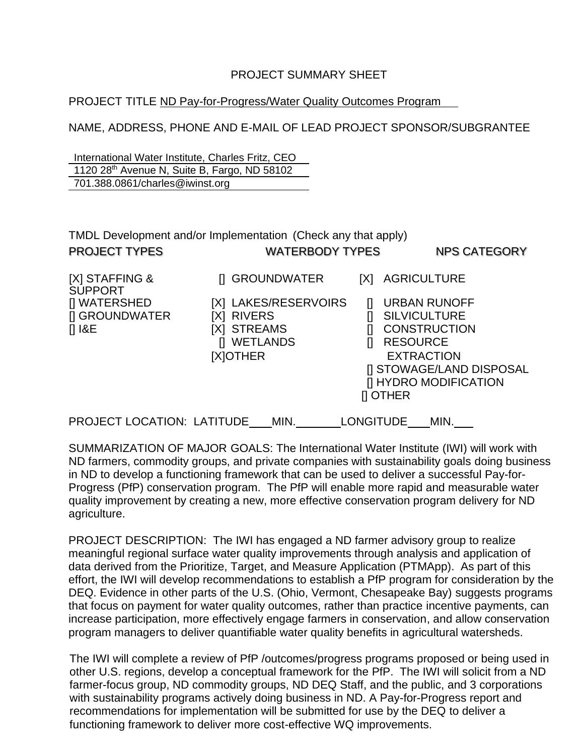## PROJECT SUMMARY SHEET

## PROJECT TITLE ND Pay-for-Progress/Water Quality Outcomes Program

NAME, ADDRESS, PHONE AND E-MAIL OF LEAD PROJECT SPONSOR/SUBGRANTEE

International Water Institute, Charles Fritz, CEO 1120 28th Avenue N, Suite B, Fargo, ND 58102 701.388.0861/charles@iwinst.org

| TMDL Development and/or Implementation (Check any that apply)<br><b>PROJECT TYPES</b><br><b>WATERBODY TYPES</b> |                                                                                                          |                                                | <b>NPS CATEGORY</b>                                                                                                                                               |
|-----------------------------------------------------------------------------------------------------------------|----------------------------------------------------------------------------------------------------------|------------------------------------------------|-------------------------------------------------------------------------------------------------------------------------------------------------------------------|
| [X] STAFFING &<br><b>SUPPORT</b><br>[] WATERSHED<br>[] GROUNDWATER<br>$[]$ I&E                                  | [I GROUNDWATER<br>[X] LAKES/RESERVOIRS<br><b>RIVERS</b><br>IXI<br>[X] STREAMS<br>[] WETLANDS<br>[X]OTHER | [X]<br>H<br><b>RESOURCE</b><br><b>II OTHER</b> | <b>AGRICULTURE</b><br><b>URBAN RUNOFF</b><br><b>SILVICULTURE</b><br><b>CONSTRUCTION</b><br><b>EXTRACTION</b><br>[] STOWAGE/LAND DISPOSAL<br>[] HYDRO MODIFICATION |
| <b>PROJECT LOCATION: LATITUDE</b>                                                                               | MIN.                                                                                                     | <b>LONGITUDE</b>                               | MIN.                                                                                                                                                              |

SUMMARIZATION OF MAJOR GOALS: The International Water Institute (IWI) will work with ND farmers, commodity groups, and private companies with sustainability goals doing business in ND to develop a functioning framework that can be used to deliver a successful Pay-for-Progress (PfP) conservation program. The PfP will enable more rapid and measurable water quality improvement by creating a new, more effective conservation program delivery for ND agriculture.

PROJECT DESCRIPTION: The IWI has engaged a ND farmer advisory group to realize meaningful regional surface water quality improvements through analysis and application of data derived from the Prioritize, Target, and Measure Application (PTMApp). As part of this effort, the IWI will develop recommendations to establish a PfP program for consideration by the DEQ. Evidence in other parts of the U.S. (Ohio, Vermont, Chesapeake Bay) suggests programs that focus on payment for water quality outcomes, rather than practice incentive payments, can increase participation, more effectively engage farmers in conservation, and allow conservation program managers to deliver quantifiable water quality benefits in agricultural watersheds.

The IWI will complete a review of PfP /outcomes/progress programs proposed or being used in other U.S. regions, develop a conceptual framework for the PfP. The IWI will solicit from a ND farmer-focus group, ND commodity groups, ND DEQ Staff, and the public, and 3 corporations with sustainability programs actively doing business in ND. A Pay-for-Progress report and recommendations for implementation will be submitted for use by the DEQ to deliver a functioning framework to deliver more cost-effective WQ improvements.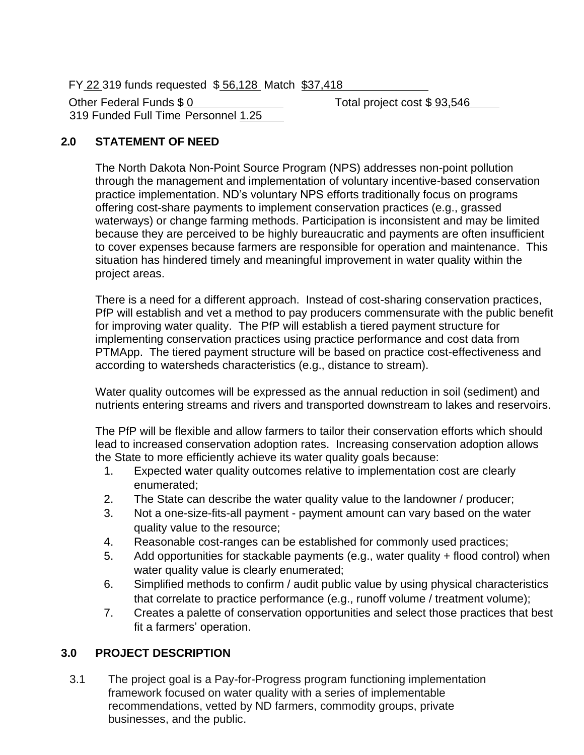FY 22 319 funds requested \$ 56,128 Match \$37,418

Other Federal Funds \$ 0 Total project cost \$ 93,546 319 Funded Full Time Personnel 1.25

# **2.0 STATEMENT OF NEED**

The North Dakota Non-Point Source Program (NPS) addresses non-point pollution through the management and implementation of voluntary incentive-based conservation practice implementation. ND's voluntary NPS efforts traditionally focus on programs offering cost-share payments to implement conservation practices (e.g., grassed waterways) or change farming methods. Participation is inconsistent and may be limited because they are perceived to be highly bureaucratic and payments are often insufficient to cover expenses because farmers are responsible for operation and maintenance. This situation has hindered timely and meaningful improvement in water quality within the project areas.

There is a need for a different approach. Instead of cost-sharing conservation practices, PfP will establish and vet a method to pay producers commensurate with the public benefit for improving water quality. The PfP will establish a tiered payment structure for implementing conservation practices using practice performance and cost data from PTMApp. The tiered payment structure will be based on practice cost-effectiveness and according to watersheds characteristics (e.g., distance to stream).

Water quality outcomes will be expressed as the annual reduction in soil (sediment) and nutrients entering streams and rivers and transported downstream to lakes and reservoirs.

The PfP will be flexible and allow farmers to tailor their conservation efforts which should lead to increased conservation adoption rates. Increasing conservation adoption allows the State to more efficiently achieve its water quality goals because:

- 1. Expected water quality outcomes relative to implementation cost are clearly enumerated;
- 2. The State can describe the water quality value to the landowner / producer;
- 3. Not a one-size-fits-all payment payment amount can vary based on the water quality value to the resource;
- 4. Reasonable cost-ranges can be established for commonly used practices;
- 5. Add opportunities for stackable payments (e.g., water quality + flood control) when water quality value is clearly enumerated;
- 6. Simplified methods to confirm / audit public value by using physical characteristics that correlate to practice performance (e.g., runoff volume / treatment volume);
- 7. Creates a palette of conservation opportunities and select those practices that best fit a farmers' operation.

#### **3.0 PROJECT DESCRIPTION**

3.1 The project goal is a Pay-for-Progress program functioning implementation framework focused on water quality with a series of implementable recommendations, vetted by ND farmers, commodity groups, private businesses, and the public.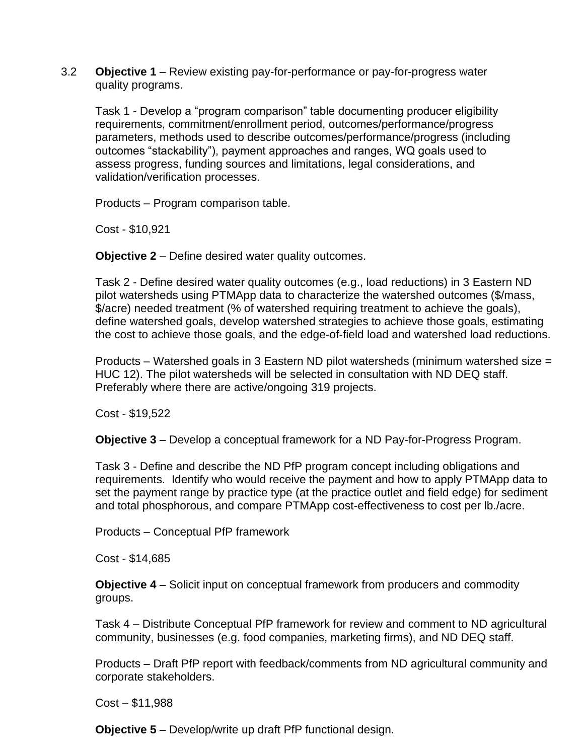3.2 **Objective 1** – Review existing pay-for-performance or pay-for-progress water quality programs.

Task 1 - Develop a "program comparison" table documenting producer eligibility requirements, commitment/enrollment period, outcomes/performance/progress parameters, methods used to describe outcomes/performance/progress (including outcomes "stackability"), payment approaches and ranges, WQ goals used to assess progress, funding sources and limitations, legal considerations, and validation/verification processes.

Products – Program comparison table.

Cost - \$10,921

**Objective 2** – Define desired water quality outcomes.

Task 2 - Define desired water quality outcomes (e.g., load reductions) in 3 Eastern ND pilot watersheds using PTMApp data to characterize the watershed outcomes (\$/mass, \$/acre) needed treatment (% of watershed requiring treatment to achieve the goals), define watershed goals, develop watershed strategies to achieve those goals, estimating the cost to achieve those goals, and the edge-of-field load and watershed load reductions.

Products – Watershed goals in 3 Eastern ND pilot watersheds (minimum watershed size = HUC 12). The pilot watersheds will be selected in consultation with ND DEQ staff. Preferably where there are active/ongoing 319 projects.

Cost - \$19,522

**Objective 3** – Develop a conceptual framework for a ND Pay-for-Progress Program.

Task 3 - Define and describe the ND PfP program concept including obligations and requirements. Identify who would receive the payment and how to apply PTMApp data to set the payment range by practice type (at the practice outlet and field edge) for sediment and total phosphorous, and compare PTMApp cost-effectiveness to cost per lb./acre.

Products – Conceptual PfP framework

Cost - \$14,685

**Objective 4** – Solicit input on conceptual framework from producers and commodity groups.

Task 4 – Distribute Conceptual PfP framework for review and comment to ND agricultural community, businesses (e.g. food companies, marketing firms), and ND DEQ staff.

Products – Draft PfP report with feedback/comments from ND agricultural community and corporate stakeholders.

Cost – \$11,988

**Objective 5** – Develop/write up draft PfP functional design.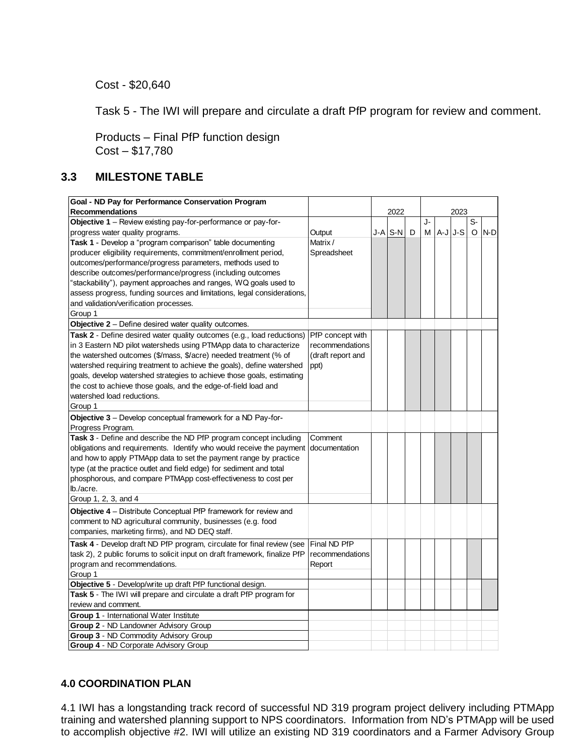Cost - \$20,640

Task 5 - The IWI will prepare and circulate a draft PfP program for review and comment.

Products – Final PfP function design Cost – \$17,780

# **3.3 MILESTONE TABLE**

| Goal - ND Pay for Performance Conservation Program                                 |                   |  |         |   |      |          |  |         |       |
|------------------------------------------------------------------------------------|-------------------|--|---------|---|------|----------|--|---------|-------|
| <b>Recommendations</b>                                                             |                   |  | 2022    |   | 2023 |          |  |         |       |
| Objective 1 - Review existing pay-for-performance or pay-for-                      |                   |  |         |   | J-   |          |  | S-      |       |
| progress water quality programs.                                                   | Output            |  | J-A S-N | D | М    | $A-JJ-S$ |  | $\circ$ | $N-D$ |
| Task 1 - Develop a "program comparison" table documenting                          | Matrix/           |  |         |   |      |          |  |         |       |
| producer eligibility requirements, commitment/enrollment period,                   | Spreadsheet       |  |         |   |      |          |  |         |       |
| outcomes/performance/progress parameters, methods used to                          |                   |  |         |   |      |          |  |         |       |
| describe outcomes/performance/progress (including outcomes                         |                   |  |         |   |      |          |  |         |       |
| 'stackability"), payment approaches and ranges, WQ goals used to                   |                   |  |         |   |      |          |  |         |       |
| assess progress, funding sources and limitations, legal considerations,            |                   |  |         |   |      |          |  |         |       |
| and validation/verification processes.                                             |                   |  |         |   |      |          |  |         |       |
| Group 1                                                                            |                   |  |         |   |      |          |  |         |       |
| <b>Objective 2</b> – Define desired water quality outcomes.                        |                   |  |         |   |      |          |  |         |       |
| Task 2 - Define desired water quality outcomes (e.g., load reductions)             | PfP concept with  |  |         |   |      |          |  |         |       |
| in 3 Eastern ND pilot watersheds using PTMApp data to characterize                 | recommendations   |  |         |   |      |          |  |         |       |
| the watershed outcomes (\$/mass, \$/acre) needed treatment (% of                   | (draft report and |  |         |   |      |          |  |         |       |
| watershed requiring treatment to achieve the goals), define watershed              | ppt)              |  |         |   |      |          |  |         |       |
| goals, develop watershed strategies to achieve those goals, estimating             |                   |  |         |   |      |          |  |         |       |
| the cost to achieve those goals, and the edge-of-field load and                    |                   |  |         |   |      |          |  |         |       |
| watershed load reductions.                                                         |                   |  |         |   |      |          |  |         |       |
| Group 1                                                                            |                   |  |         |   |      |          |  |         |       |
| Objective 3 - Develop conceptual framework for a ND Pay-for-                       |                   |  |         |   |      |          |  |         |       |
| Progress Program.                                                                  |                   |  |         |   |      |          |  |         |       |
| Task 3 - Define and describe the ND PfP program concept including                  | Comment           |  |         |   |      |          |  |         |       |
| obligations and requirements. Identify who would receive the payment documentation |                   |  |         |   |      |          |  |         |       |
| and how to apply PTMApp data to set the payment range by practice                  |                   |  |         |   |      |          |  |         |       |
| type (at the practice outlet and field edge) for sediment and total                |                   |  |         |   |      |          |  |         |       |
| phosphorous, and compare PTMApp cost-effectiveness to cost per                     |                   |  |         |   |      |          |  |         |       |
| lb./acre.                                                                          |                   |  |         |   |      |          |  |         |       |
| Group 1, 2, 3, and 4                                                               |                   |  |         |   |      |          |  |         |       |
| Objective 4 - Distribute Conceptual PfP framework for review and                   |                   |  |         |   |      |          |  |         |       |
| comment to ND agricultural community, businesses (e.g. food                        |                   |  |         |   |      |          |  |         |       |
| companies, marketing firms), and ND DEQ staff.                                     |                   |  |         |   |      |          |  |         |       |
| Task 4 - Develop draft ND PfP program, circulate for final review (see             | Final ND PfP      |  |         |   |      |          |  |         |       |
| task 2), 2 public forums to solicit input on draft framework, finalize PfP         | recommendations   |  |         |   |      |          |  |         |       |
| program and recommendations.                                                       | Report            |  |         |   |      |          |  |         |       |
| Group 1                                                                            |                   |  |         |   |      |          |  |         |       |
| Objective 5 - Develop/write up draft PfP functional design.                        |                   |  |         |   |      |          |  |         |       |
| Task 5 - The IWI will prepare and circulate a draft PfP program for                |                   |  |         |   |      |          |  |         |       |
| review and comment.                                                                |                   |  |         |   |      |          |  |         |       |
| Group 1 - International Water Institute                                            |                   |  |         |   |      |          |  |         |       |
| Group 2 - ND Landowner Advisory Group                                              |                   |  |         |   |      |          |  |         |       |
| Group 3 - ND Commodity Advisory Group                                              |                   |  |         |   |      |          |  |         |       |
|                                                                                    |                   |  |         |   |      |          |  |         |       |

## **4.0 COORDINATION PLAN**

4.1 IWI has a longstanding track record of successful ND 319 program project delivery including PTMApp training and watershed planning support to NPS coordinators. Information from ND's PTMApp will be used to accomplish objective #2. IWI will utilize an existing ND 319 coordinators and a Farmer Advisory Group